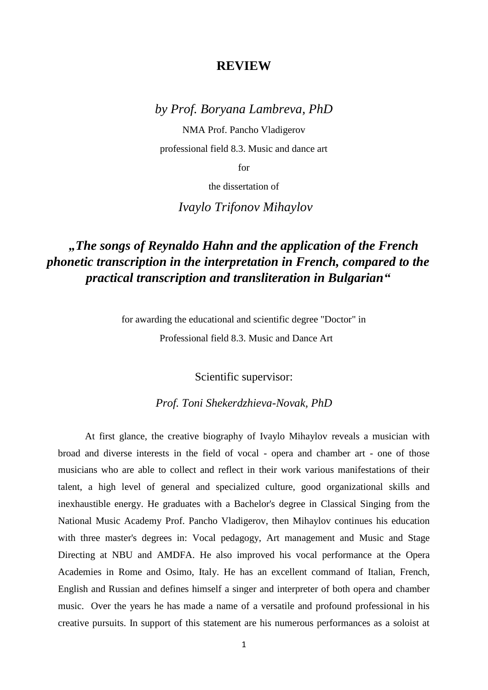## **REVIEW**

## *by Prof. Boryana Lambreva, PhD*

NMA Prof. Pancho Vladigerov professional field 8.3. Music and dance art

for

the dissertation of

*Ivaylo Trifonov Mihaylov*

## *"The songs of Reynaldo Hahn and the application of the French phonetic transcription in the interpretation in French, compared to the practical transcription and transliteration in Bulgarian"*

for awarding the educational and scientific degree "Doctor" in

Professional field 8.3. Music and Dance Art

Scientific supervisor:

## *Prof. Toni Shekerdzhieva-Novak, PhD*

 At first glance, the creative biography of Ivaylo Mihaylov reveals a musician with broad and diverse interests in the field of vocal - opera and chamber art - one of those musicians who are able to collect and reflect in their work various manifestations of their talent, a high level of general and specialized culture, good organizational skills and inexhaustible energy. He graduates with a Bachelor's degree in Classical Singing from the National Music Academy Prof. Pancho Vladigerov, then Mihaylov continues his education with three master's degrees in: Vocal pedagogy, Art management and Music and Stage Directing at NBU and AMDFA. He also improved his vocal performance at the Opera Academies in Rome and Osimo, Italy. He has an excellent command of Italian, French, English and Russian and defines himself a singer and interpreter of both opera and chamber music. Over the years he has made a name of a versatile and profound professional in his creative pursuits. In support of this statement are his numerous performances as a soloist at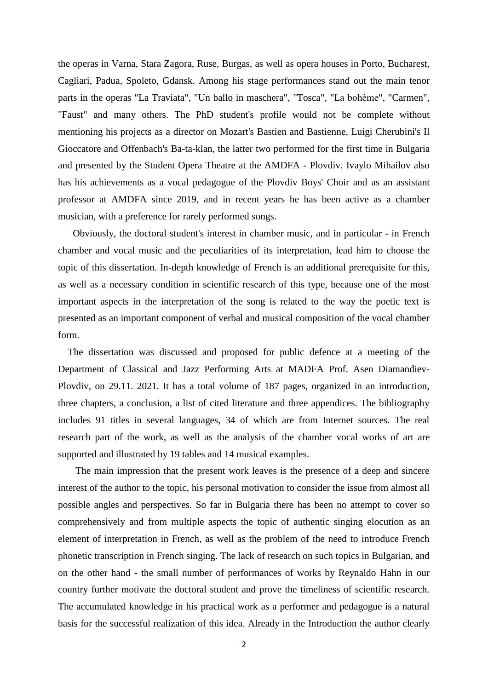the operas in Varna, Stara Zagora, Ruse, Burgas, as well as opera houses in Porto, Bucharest, Cagliari, Padua, Spoleto, Gdansk. Among his stage performances stand out the main tenor parts in the operas "La Traviata", "Un ballo in maschera", "Tosca", "La bohème", "Carmen", "Faust" and many others. The PhD student's profile would not be complete without mentioning his projects as a director on Mozart's Bastien and Bastienne, Luigi Cherubini's Il Gioccatore and Offenbach's Ba-ta-klan, the latter two performed for the first time in Bulgaria and presented by the Student Opera Theatre at the AMDFA - Plovdiv. Ivaylo Mihailov also has his achievements as a vocal pedagogue of the Plovdiv Boys' Choir and as an assistant professor at AMDFA since 2019, and in recent years he has been active as a chamber musician, with a preference for rarely performed songs.

 Obviously, the doctoral student's interest in chamber music, and in particular - in French chamber and vocal music and the peculiarities of its interpretation, lead him to choose the topic of this dissertation. In-depth knowledge of French is an additional prerequisite for this, as well as a necessary condition in scientific research of this type, because one of the most important aspects in the interpretation of the song is related to the way the poetic text is presented as an important component of verbal and musical composition of the vocal chamber form.

 The dissertation was discussed and proposed for public defence at a meeting of the Department of Classical and Jazz Performing Arts at MADFA Prof. Asen Diamandiev-Plovdiv, on 29.11. 2021. It has a total volume of 187 pages, organized in an introduction, three chapters, a conclusion, a list of cited literature and three appendices. The bibliography includes 91 titles in several languages, 34 of which are from Internet sources. The real research part of the work, as well as the analysis of the chamber vocal works of art are supported and illustrated by 19 tables and 14 musical examples.

The main impression that the present work leaves is the presence of a deep and sincere interest of the author to the topic, his personal motivation to consider the issue from almost all possible angles and perspectives. So far in Bulgaria there has been no attempt to cover so comprehensively and from multiple aspects the topic of authentic singing elocution as an element of interpretation in French, as well as the problem of the need to introduce French phonetic transcription in French singing. The lack of research on such topics in Bulgarian, and on the other hand - the small number of performances of works by Reynaldo Hahn in our country further motivate the doctoral student and prove the timeliness of scientific research. The accumulated knowledge in his practical work as a performer and pedagogue is a natural basis for the successful realization of this idea. Already in the Introduction the author clearly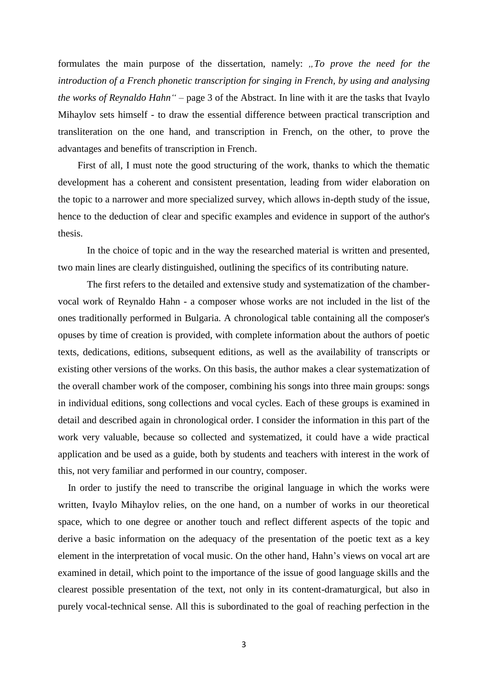formulates the main purpose of the dissertation, namely: "To prove the need for the *introduction of a French phonetic transcription for singing in French, by using and analysing the works of Reynaldo Hahn"* – page 3 of the Abstract. In line with it are the tasks that Ivaylo Mihaylov sets himself - to draw the essential difference between practical transcription and transliteration on the one hand, and transcription in French, on the other, to prove the advantages and benefits of transcription in French.

 First of all, I must note the good structuring of the work, thanks to which the thematic development has a coherent and consistent presentation, leading from wider elaboration on the topic to a narrower and more specialized survey, which allows in-depth study of the issue, hence to the deduction of clear and specific examples and evidence in support of the author's thesis.

In the choice of topic and in the way the researched material is written and presented, two main lines are clearly distinguished, outlining the specifics of its contributing nature.

The first refers to the detailed and extensive study and systematization of the chambervocal work of Reynaldo Hahn - a composer whose works are not included in the list of the ones traditionally performed in Bulgaria. A chronological table containing all the composer's opuses by time of creation is provided, with complete information about the authors of poetic texts, dedications, editions, subsequent editions, as well as the availability of transcripts or existing other versions of the works. On this basis, the author makes a clear systematization of the overall chamber work of the composer, combining his songs into three main groups: songs in individual editions, song collections and vocal cycles. Each of these groups is examined in detail and described again in chronological order. I consider the information in this part of the work very valuable, because so collected and systematized, it could have a wide practical application and be used as a guide, both by students and teachers with interest in the work of this, not very familiar and performed in our country, composer.

 In order to justify the need to transcribe the original language in which the works were written, Ivaylo Mihaylov relies, on the one hand, on a number of works in our theoretical space, which to one degree or another touch and reflect different aspects of the topic and derive a basic information on the adequacy of the presentation of the poetic text as a key element in the interpretation of vocal music. On the other hand, Hahn's views on vocal art are examined in detail, which point to the importance of the issue of good language skills and the clearest possible presentation of the text, not only in its content-dramaturgical, but also in purely vocal-technical sense. All this is subordinated to the goal of reaching perfection in the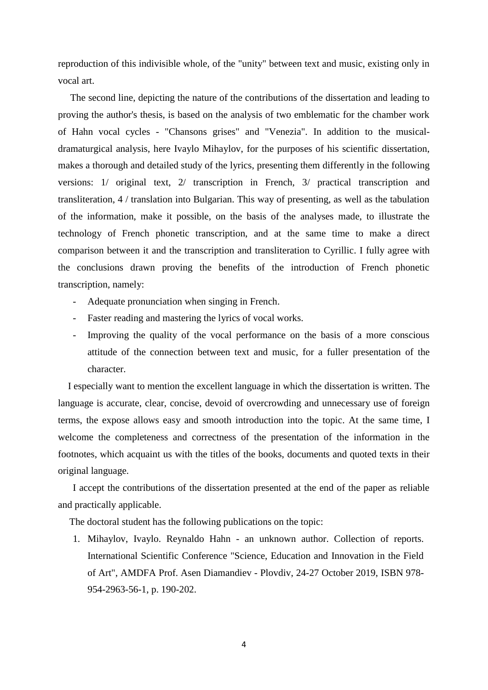reproduction of this indivisible whole, of the "unity" between text and music, existing only in vocal art.

 The second line, depicting the nature of the contributions of the dissertation and leading to proving the author's thesis, is based on the analysis of two emblematic for the chamber work of Hahn vocal cycles - "Chansons grises" and "Venezia". In addition to the musicaldramaturgical analysis, here Ivaylo Mihaylov, for the purposes of his scientific dissertation, makes a thorough and detailed study of the lyrics, presenting them differently in the following versions: 1/ original text, 2/ transcription in French, 3/ practical transcription and transliteration, 4 / translation into Bulgarian. This way of presenting, as well as the tabulation of the information, make it possible, on the basis of the analyses made, to illustrate the technology of French phonetic transcription, and at the same time to make a direct comparison between it and the transcription and transliteration to Cyrillic. I fully agree with the conclusions drawn proving the benefits of the introduction of French phonetic transcription, namely:

- Adequate pronunciation when singing in French.
- Faster reading and mastering the lyrics of vocal works.
- Improving the quality of the vocal performance on the basis of a more conscious attitude of the connection between text and music, for a fuller presentation of the character.

 I especially want to mention the excellent language in which the dissertation is written. The language is accurate, clear, concise, devoid of overcrowding and unnecessary use of foreign terms, the expose allows easy and smooth introduction into the topic. At the same time, I welcome the completeness and correctness of the presentation of the information in the footnotes, which acquaint us with the titles of the books, documents and quoted texts in their original language.

 I accept the contributions of the dissertation presented at the end of the paper as reliable and practically applicable.

The doctoral student has the following publications on the topic:

1. Mihaylov, Ivaylo. Reynaldo Hahn - an unknown author. Collection of reports. International Scientific Conference "Science, Education and Innovation in the Field of Art", AMDFA Prof. Asen Diamandiev - Plovdiv, 24-27 October 2019, ISBN 978- 954-2963-56-1, p. 190-202.